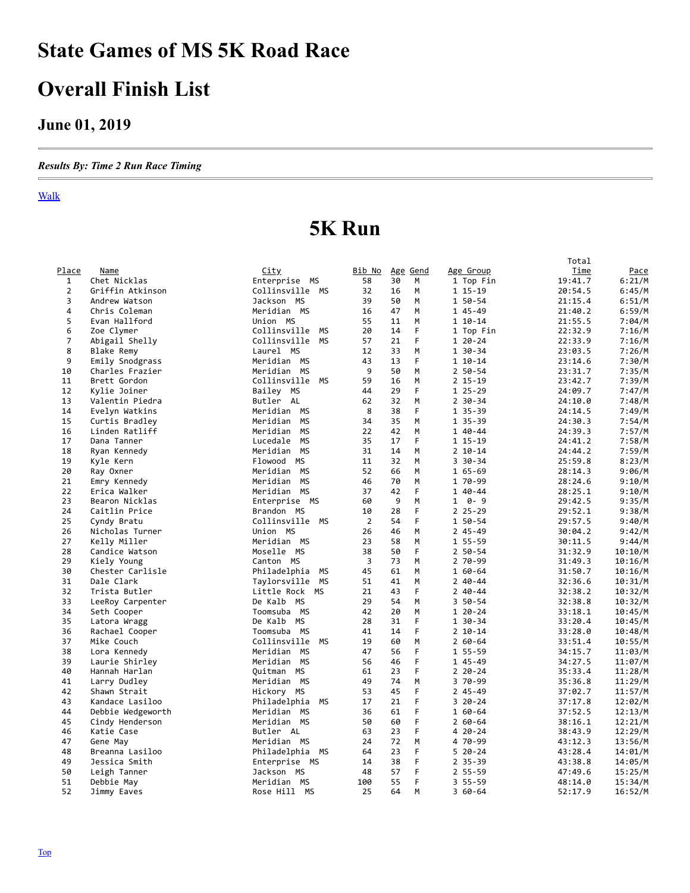## <span id="page-0-0"></span>**State Games of MS 5K Road Race**

### **Overall Finish List**

#### **June 01, 2019**

*Results By: Time 2 Run Race Timing*

#### Walk

## **5K Run**

|                |                                 |                              |                 |          |        |                         | Total              |             |
|----------------|---------------------------------|------------------------------|-----------------|----------|--------|-------------------------|--------------------|-------------|
| Place          | <b>Name</b>                     | <u>City</u>                  | Bib No Age Gend |          |        | Age Group               | Time               | <u>Pace</u> |
| $\mathbf{1}$   | Chet Nicklas                    | Enterprise MS                | 58              | 30       | M      | 1 Top Fin               | 19:41.7            | 6:21/M      |
| $\overline{2}$ | Griffin Atkinson                | Collinsville MS              | 32              | 16       | M      | 1 15-19                 | 20:54.5            | 6:45/M      |
| 3              | Andrew Watson                   | Jackson MS                   | 39              | 50       | M      | 1 50-54                 | 21:15.4            | 6:51/M      |
| 4              | Chris Coleman                   | Meridian MS                  | 16              | 47       | M      | 1 45-49                 | 21:40.2            | 6:59/M      |
| 5              | Evan Hallford                   | Union MS                     | 55              | 11       | M      | $110-14$                | 21:55.5            | 7:04/M      |
| 6              | Zoe Clymer                      | Collinsville MS              | 20              | 14       | F      | 1 Top Fin               | 22:32.9            | 7:16/M      |
| 7              | Abigail Shelly                  | Collinsville MS              | 57              | 21       | F      | $120 - 24$              | 22:33.9            | 7:16/M      |
| 8              | <b>Blake Remy</b>               | Laurel MS                    | 12              | 33       | M      | 1 30-34                 | 23:03.5            | 7:26/M      |
| 9              | Emily Snodgrass                 | Meridian MS                  | 43              | 13       | F      | $110-14$                | 23:14.6            | 7:30/M      |
| 10             | Charles Frazier                 | Meridian MS                  | 9               | 50       | M      | $250 - 54$              | 23:31.7            | 7:35/M      |
| 11             | Brett Gordon                    | Collinsville MS              | 59              | 16       | M      | $2$ 15-19               | 23:42.7            | 7:39/M      |
| 12             | Kylie Joiner                    | Bailey MS                    | 44              | 29       | F      | $125 - 29$              | 24:09.7            | 7:47/M      |
| 13             | Valentin Piedra                 | Butler AL                    | 62              | 32       | M      | $2 \, 30 - 34$          | 24:10.0            | 7:48/M      |
| 14             | Evelyn Watkins                  | Meridian MS                  | 8               | 38       | F      | 1 35-39                 | 24:14.5            | 7:49/M      |
| 15             | Curtis Bradley                  | Meridian MS                  | 34              | 35       | M      | 1 35-39                 | 24:30.3            | 7:54/M      |
| 16             | Linden Ratliff                  | MS<br>Meridian               | 22              | 42       | M      | 1 40-44                 | 24:39.3            | 7:57/M      |
| 17             | Dana Tanner                     | Lucedale MS                  | 35              | 17       | F      | 1 15-19                 | 24:41.2            | 7:58/M      |
| 18             | Ryan Kennedy                    | Meridian MS                  | 31              | 14       | M      | $2 10 - 14$             | 24:44.2            | 7:59/M      |
| 19             | Kyle Kern                       | Flowood MS                   | 11              | 32       | M      | $330 - 34$              | 25:59.8            | 8:23/M      |
| 20             | Ray Oxner                       | Meridian MS                  | 52              | 66       | M      | $165 - 69$              | 28:14.3            | 9:06/M      |
| 21             | Emry Kennedy                    | Meridian MS                  | 46              | 70       | M      | 1 70-99                 | 28:24.6            | 9:10/M      |
| 22             | Erica Walker                    | Meridian MS                  | 37              | 42       | F      | 1 40-44                 | 28:25.1            | 9:10/M      |
| 23             | Bearon Nicklas                  | Enterprise MS                | 60              | 9        | M      | $0 - 9$<br>$\mathbf{1}$ | 29:42.5            | 9:35/M      |
| 24             | Caitlin Price                   | Brandon MS                   | 10              | 28       | F      | $225 - 29$              | 29:52.1            | 9:38/M      |
| 25             | Cyndy Bratu                     | Collinsville MS              | $\overline{2}$  | 54       | F      | 1 50-54                 | 29:57.5            | 9:40/M      |
| 26             |                                 | Union MS                     | 26              | 46       | M      | $245 - 49$              | 30:04.2            |             |
| 27             | Nicholas Turner                 | Meridian MS                  | 23              | 58       | M      | 1 55-59                 | 30:11.5            | 9:42/M      |
| 28             | Kelly Miller                    | Moselle MS                   | 38              | 50       | F      | 2 50-54                 | 31:32.9            | 9:44/M      |
|                | Candice Watson                  |                              |                 |          | M      |                         |                    | 10:10/M     |
| 29<br>30       | Kiely Young<br>Chester Carlisle | Canton MS<br>Philadelphia MS | 3<br>45         | 73<br>61 | M      | 2 70-99<br>1 60-64      | 31:49.3<br>31:50.7 | 10:16/M     |
|                |                                 |                              |                 |          |        |                         |                    | 10:16/M     |
| 31             | Dale Clark                      | Taylorsville MS              | 51              | 41       | M<br>E | $240 - 44$              | 32:36.6            | 10:31/M     |
| 32             | Trista Butler                   | Little Rock MS               | 21              | 43       |        | $240 - 44$              | 32:38.2            | 10:32/M     |
| 33             | LeeRoy Carpenter                | De Kalb MS                   | 29              | 54       | M      | 3 50-54                 | 32:38.8            | 10:32/M     |
| 34             | Seth Cooper                     | Toomsuba MS                  | 42              | 20       | M      | $120 - 24$              | 33:18.1            | 10:45/M     |
| 35             | Latora Wragg                    | De Kalb MS                   | 28              | 31       | F      | 1 30-34                 | 33:20.4            | 10:45/M     |
| 36             | Rachael Cooper                  | Toomsuba MS                  | 41              | 14       | F      | $2 10 - 14$             | 33:28.0            | 10:48/M     |
| 37             | Mike Couch                      | Collinsville<br><b>MS</b>    | 19              | 60       | M      | $260 - 64$              | 33:51.4            | 10:55/M     |
| 38             | Lora Kennedy                    | Meridian MS                  | 47              | 56       | F      | 1 55-59                 | 34:15.7            | 11:03/M     |
| 39             | Laurie Shirley                  | Meridian MS                  | 56              | 46       | F      | 1 45-49                 | 34:27.5            | 11:07/M     |
| 40             | Hannah Harlan                   | Ouitman MS                   | 61              | 23       | F      | $220 - 24$              | 35:33.4            | 11:28/M     |
| 41             | Larry Dudley                    | Meridian MS                  | 49              | 74       | M      | 3 70-99                 | 35:36.8            | 11:29/M     |
| 42             | Shawn Strait                    | Hickory MS                   | 53              | 45       | F      | $245 - 49$              | 37:02.7            | 11:57/M     |
| 43             | Kandace Lasiloo                 | Philadelphia<br>MS           | 17              | 21       | F      | $320 - 24$              | 37:17.8            | 12:02/M     |
| 44             | Debbie Wedgeworth               | Meridian MS                  | 36              | 61       | F      | 1 60-64                 | 37:52.5            | 12:13/M     |
| 45             | Cindy Henderson                 | Meridian MS                  | 50              | 60       | F      | $260 - 64$              | 38:16.1            | 12:21/M     |
| 46             | Katie Case                      | Butler AL                    | 63              | 23       | F      | 4 20-24                 | 38:43.9            | 12:29/M     |
| 47             | Gene May                        | Meridian MS                  | 24              | 72       | M      | 4 70-99                 | 43:12.3            | 13:56/M     |
| 48             | Breanna Lasiloo                 | Philadelphia MS              | 64              | 23       | F      | $520 - 24$              | 43:28.4            | 14:01/M     |
| 49             | Jessica Smith                   | Enterprise MS                | 14              | 38       | F      | $2$ 35-39               | 43:38.8            | 14:05/M     |
| 50             | Leigh Tanner                    | Jackson MS                   | 48              | 57       | F      | 2 55-59                 | 47:49.6            | 15:25/M     |
| 51             | Debbie May                      | Meridian MS                  | 100             | 55       | F      | $355 - 59$              | 48:14.0            | 15:34/M     |
| 52             | Jimmy Eaves                     | Rose Hill MS                 | 25              | 64       | M      | $360 - 64$              | 52:17.9            | 16:52/M     |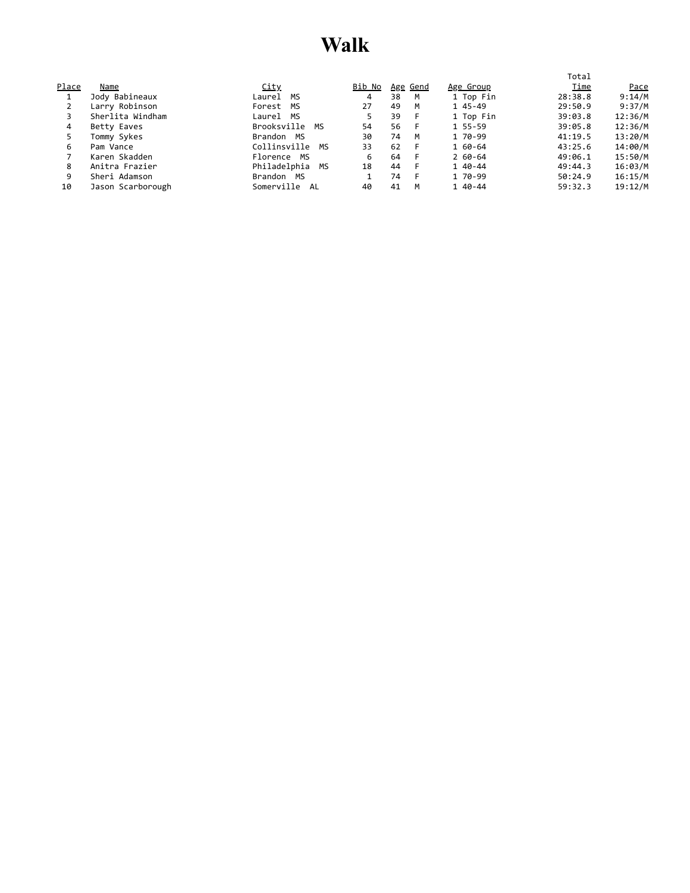#### **Walk**

|       |                   |                    |               |    |                 |            | Total   |             |
|-------|-------------------|--------------------|---------------|----|-----------------|------------|---------|-------------|
| Place | Name              | <u>City</u>        | <u>Bib No</u> |    | <u>Age Gend</u> | Age Group  | Time    | <u>Pace</u> |
|       | Jody Babineaux    | Laurel MS          | 4             | 38 | M               | 1 Top Fin  | 28:38.8 | 9:14/M      |
|       | Larry Robinson    | Forest MS          | 27            | 49 | M               | 1 45-49    | 29:50.9 | 9:37/M      |
|       | Sherlita Windham  | Laurel MS          | 5.            | 39 | -F              | 1 Top Fin  | 39:03.8 | 12:36/M     |
| 4     | Betty Eaves       | Brooksville<br>MS  | 54            | 56 | - F             | 1 55-59    | 39:05.8 | 12:36/M     |
|       | Tommy Sykes       | Brandon<br>MS      | 30            | 74 | M               | 1 70-99    | 41:19.5 | 13:20/M     |
| 6     | Pam Vance         | Collinsville<br>МS | 33            | 62 | - F             | 1 60-64    | 43:25.6 | 14:00/M     |
|       | Karen Skadden     | Florence MS        | 6             | 64 | - F             | $260 - 64$ | 49:06.1 | 15:50/M     |
| 8     | Anitra Frazier    | Philadelphia<br>MS | 18            | 44 | - F             | 1 40-44    | 49:44.3 | 16:03/M     |
| 9     | Sheri Adamson     | Brandon MS         |               | 74 | -F              | 1 70-99    | 50:24.9 | 16:15/M     |
| 10    | Jason Scarborough | Somerville<br>AL   | 40            | 41 | M               | 1 40-44    | 59:32.3 | 19:12/M     |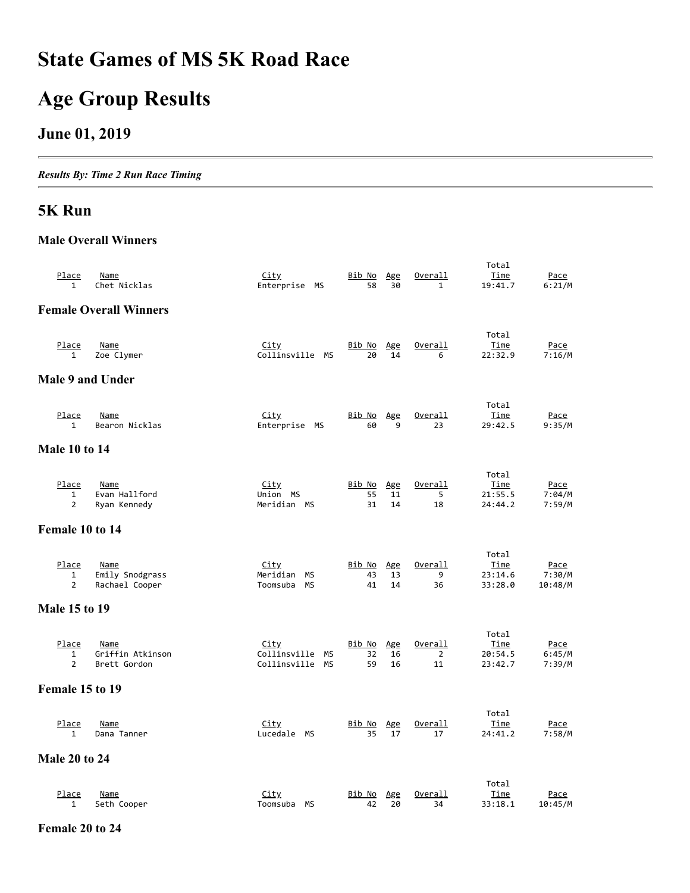### **State Games of MS 5K Road Race**

# **Age Group Results**

#### **June 01, 2019**

*Results By: Time 2 Run Race Timing*

#### **5K Run**

#### **Male Overall Winners**

| <u>Place</u><br>$\mathbf{1}$   | <b>Name</b><br>Chet Nicklas   | <u>City</u><br>Enterprise MS   | <u>Bib No</u><br>58 | Age<br>30 | <u>Overall</u><br>$\mathbf{1}$ | Total<br>Time<br>19:41.7 | Pace<br>6:21/M   |
|--------------------------------|-------------------------------|--------------------------------|---------------------|-----------|--------------------------------|--------------------------|------------------|
|                                | <b>Female Overall Winners</b> |                                |                     |           |                                |                          |                  |
|                                |                               |                                |                     |           |                                |                          |                  |
|                                |                               |                                |                     |           |                                | Total                    |                  |
| Place<br>$\mathbf{1}$          | <b>Name</b><br>Zoe Clymer     | <u>City</u><br>Collinsville MS | <u>Bib No</u><br>20 | Age<br>14 | Overall<br>6                   | <u>Time</u><br>22:32.9   | Pace<br>7:16/M   |
| Male 9 and Under               |                               |                                |                     |           |                                |                          |                  |
|                                |                               |                                |                     |           |                                |                          |                  |
| <u>Place</u>                   | <b>Name</b>                   | City                           | <u>Bib No</u>       | Age       | <u>Overall</u>                 | Total<br>Time            | <u>Pace</u>      |
| $\mathbf{1}$                   | Bearon Nicklas                | Enterprise MS                  | 60                  | 9         | 23                             | 29:42.5                  | 9:35/M           |
| <b>Male 10 to 14</b>           |                               |                                |                     |           |                                |                          |                  |
|                                |                               |                                |                     |           |                                | Total                    |                  |
| Place                          | Name                          | City                           | Bib No              | Age       | Overall                        | Time                     | Pace             |
| $\mathbf{1}$<br>$\overline{2}$ | Evan Hallford<br>Ryan Kennedy | Union MS<br>Meridian MS        | 55<br>31            | 11<br>14  | 5<br>18                        | 21:55.5<br>24:44.2       | 7:04/M<br>7:59/M |
|                                |                               |                                |                     |           |                                |                          |                  |
| Female 10 to 14                |                               |                                |                     |           |                                |                          |                  |
|                                |                               |                                |                     |           |                                |                          |                  |
| Place                          | <b>Name</b>                   | City                           | <u>Bib No</u>       | Age       | <u>Overall</u>                 | Total<br>Time            | Pace             |
| 1                              | Emily Snodgrass               | Meridian<br>МS                 | 43                  | 13        | 9                              | 23:14.6                  | 7:30/M           |
| $\overline{2}$                 | Rachael Cooper                | Toomsuba<br>МS                 | 41                  | 14        | 36                             | 33:28.0                  | 10:48/M          |
| <b>Male 15 to 19</b>           |                               |                                |                     |           |                                |                          |                  |
|                                |                               |                                |                     |           |                                | Total                    |                  |
| Place                          | <b>Name</b>                   | <u>City</u>                    | Bib No              | Age       | Overall                        | Time                     | Pace             |
| $\mathbf{1}$                   | Griffin Atkinson              | Collinsville<br><b>MS</b>      | 32                  | 16        | $\overline{2}$                 | 20:54.5                  | 6:45/M           |
| $\overline{2}$                 | Brett Gordon                  | Collinsville MS                | 59                  | 16        | 11                             | 23:42.7                  | 7:39/M           |
| Female 15 to 19                |                               |                                |                     |           |                                |                          |                  |
|                                |                               |                                |                     |           |                                | Total                    |                  |
| Place                          | Name                          | <u>City</u>                    | Bib No              | Age       | Overall                        | Time                     | Pace             |
| 1                              | Dana Tanner                   | Lucedale MS                    | 35                  | 17        | 17                             | 24:41.2                  | 7:58/M           |
| <b>Male 20 to 24</b>           |                               |                                |                     |           |                                |                          |                  |
|                                |                               |                                |                     |           |                                | Total                    |                  |
| Place                          | Name                          | <u>City</u>                    | Bib No              | Age       | Overall                        | Time                     | Pace             |
| $\mathbf{1}$                   | Seth Cooper                   | Toomsuba MS                    | 42                  | 20        | 34                             | 33:18.1                  | 10:45/M          |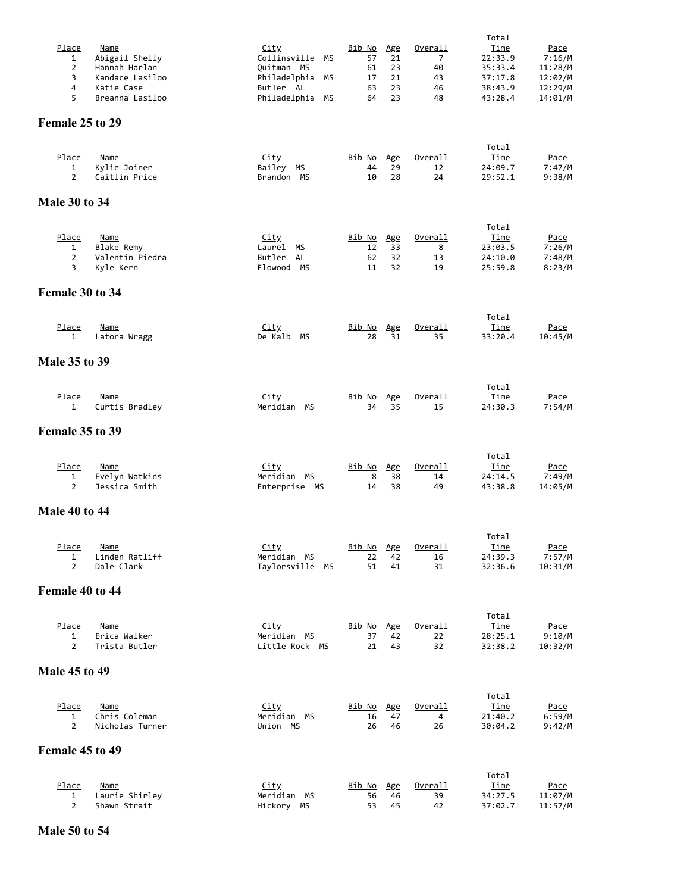|                      |                   |                            |                     |           |                      | Total           |             |
|----------------------|-------------------|----------------------------|---------------------|-----------|----------------------|-----------------|-------------|
| Place                | <b>Name</b>       | <u>City</u>                | <u>Bib No</u>       | Age       | <u>Overall</u>       | <u>Time</u>     | <u>Pace</u> |
| $\mathbf{1}$         | Abigail Shelly    | Collinsville<br>МS         | 57                  | 21        | 7                    | 22:33.9         | 7:16/M      |
| $\overline{2}$       | Hannah Harlan     | Quitman MS                 | 61                  | 23        | 40                   | 35:33.4         | 11:28/M     |
| 3                    | Kandace Lasiloo   | Philadelphia<br>МS         | 17                  | 21        | 43                   | 37:17.8         | 12:02/M     |
| 4                    | Katie Case        | Butler AL                  | 63                  | 23        | 46                   | 38:43.9         | 12:29/M     |
| 5                    | Breanna Lasiloo   | Philadelphia<br><b>MS</b>  | 64                  | 23        | 48                   | 43:28.4         | 14:01/M     |
|                      |                   |                            |                     |           |                      |                 |             |
| Female 25 to 29      |                   |                            |                     |           |                      |                 |             |
|                      |                   |                            |                     |           |                      |                 |             |
|                      |                   |                            |                     |           |                      | Total           |             |
| <u>Place</u>         | <b>Name</b>       | <u>City</u>                | <u>Bib No</u>       | Age       | <u>Overall</u>       | <u>Time</u>     | <u>Pace</u> |
| 1                    | Kylie Joiner      | Bailey MS                  | 44                  | 29        | 12                   | 24:09.7         | 7:47/M      |
| $\overline{2}$       | Caitlin Price     | Brandon MS                 | 10                  | 28        | 24                   | 29:52.1         | 9:38/M      |
|                      |                   |                            |                     |           |                      |                 |             |
| <b>Male 30 to 34</b> |                   |                            |                     |           |                      |                 |             |
|                      |                   |                            |                     |           |                      |                 |             |
|                      |                   |                            |                     |           |                      | Total           |             |
| Place                | <b>Name</b>       | <u>City</u>                | <u>Bib No</u>       | Age       | Overall              | Time            | <u>Pace</u> |
| 1                    | <b>Blake Remy</b> | Laurel MS                  | 12                  | 33        | 8                    | 23:03.5         | 7:26/M      |
| $\overline{2}$       | Valentin Piedra   | Butler<br>AL               | 62                  | 32        | 13                   | 24:10.0         | 7:48/M      |
| 3                    | Kyle Kern         | Flowood MS                 | 11                  | 32        | 19                   | 25:59.8         | 8:23/M      |
|                      |                   |                            |                     |           |                      |                 |             |
| Female 30 to 34      |                   |                            |                     |           |                      |                 |             |
|                      |                   |                            |                     |           |                      |                 |             |
|                      |                   |                            |                     |           |                      | Total           |             |
| Place                | Name              | <u>City</u>                | <u>Bib No</u>       | Age       | <u>Overall</u>       | <u>Time</u>     | <u>Pace</u> |
| $\mathbf{1}$         | Latora Wragg      | De Kalb MS                 | 28                  | 31        | 35                   | 33:20.4         | 10:45/M     |
|                      |                   |                            |                     |           |                      |                 |             |
| <b>Male 35 to 39</b> |                   |                            |                     |           |                      |                 |             |
|                      |                   |                            |                     |           |                      |                 |             |
|                      |                   |                            |                     |           |                      |                 |             |
|                      |                   |                            |                     |           |                      | Total           |             |
| Place                | <u>Name</u>       | <u>City</u><br>Meridian MS | <u>Bib No</u><br>34 | Age<br>35 | <u>Overall</u><br>15 | Time<br>24:30.3 | <u>Pace</u> |
| 1                    | Curtis Bradley    |                            |                     |           |                      |                 | 7:54/M      |
|                      |                   |                            |                     |           |                      |                 |             |
| Female 35 to 39      |                   |                            |                     |           |                      |                 |             |
|                      |                   |                            |                     |           |                      |                 |             |
|                      |                   |                            |                     |           |                      | Total           |             |
| Place                | Name              | <u>City</u>                | <u>Bib No</u>       | Age       | Overall              | Time            | <u>Pace</u> |
| 1                    | Evelyn Watkins    | Meridian MS                | 8                   | 38        | 14                   | 24:14.5         | 7:49/M      |
| $\overline{2}$       | Jessica Smith     | Enterprise MS              | 14                  | 38        | 49                   | 43:38.8         | 14:05/M     |
|                      |                   |                            |                     |           |                      |                 |             |
| <b>Male 40 to 44</b> |                   |                            |                     |           |                      |                 |             |
|                      |                   |                            |                     |           |                      |                 |             |
|                      |                   |                            |                     |           |                      | Total           |             |
| Place                | Name              | City                       | Bib No              | Age       | Overall              | <u>Time</u>     | Pace        |
| $\mathbf{1}$         | Linden Ratliff    | Meridian MS                | 22                  | 42        | 16                   | 24:39.3         | 7:57/M      |
| $\overline{2}$       | Dale Clark        | Taylorsville MS            | 51                  | 41        | 31                   | 32:36.6         | 10:31/M     |
|                      |                   |                            |                     |           |                      |                 |             |
| Female 40 to 44      |                   |                            |                     |           |                      |                 |             |
|                      |                   |                            |                     |           |                      |                 |             |
|                      |                   |                            |                     |           |                      | Total           |             |
| Place                | <b>Name</b>       | <u>City</u>                | <u>Bib No</u>       | Age       | Overall              | Time            | Pace        |
| 1                    | Erica Walker      | Meridian MS                | 37                  | 42        | 22                   | 28:25.1         | 9:10/M      |
| $\overline{2}$       | Trista Butler     | Little Rock MS             | 21                  | 43        | 32                   | 32:38.2         | 10:32/M     |
|                      |                   |                            |                     |           |                      |                 |             |
| <b>Male 45 to 49</b> |                   |                            |                     |           |                      |                 |             |
|                      |                   |                            |                     |           |                      |                 |             |
|                      |                   |                            |                     |           |                      | Total           |             |
| Place                | <b>Name</b>       | <u>City</u>                | <u>Bib No</u>       | Age       | Overall              | <u>Time</u>     | <u>Pace</u> |
| $\mathbf{1}$         | Chris Coleman     | Meridian MS                | 16                  | 47        | 4                    | 21:40.2         | 6:59/M      |
| $\overline{2}$       | Nicholas Turner   | Union MS                   | 26                  | 46        | 26                   | 30:04.2         | 9:42/M      |
|                      |                   |                            |                     |           |                      |                 |             |
| Female 45 to 49      |                   |                            |                     |           |                      |                 |             |
|                      |                   |                            |                     |           |                      |                 |             |
|                      |                   |                            |                     |           |                      | Total           |             |
| Place                | Name              | <u>City</u>                | <u>Bib No</u>       | Age       | <u>Overall</u>       | <u>Time</u>     | <u>Pace</u> |
| 1                    | Laurie Shirley    | Meridian MS                | 56                  | 46        | 39                   | 34:27.5         | 11:07/M     |
| $\overline{2}$       | Shawn Strait      | Hickory MS                 | 53                  | 45        | 42                   | 37:02.7         | 11:57/M     |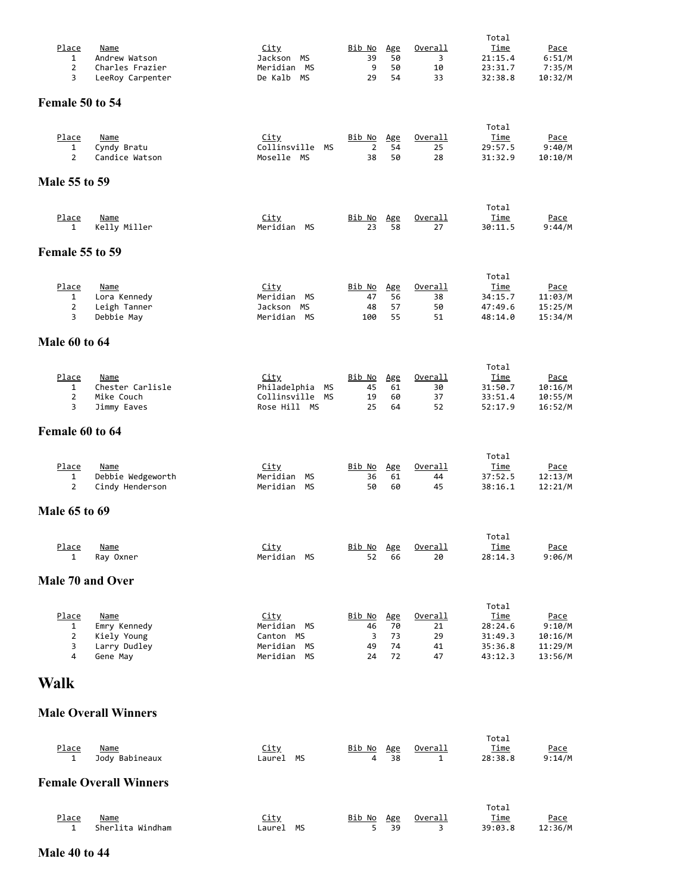| Place                | <b>Name</b>                          | <u>City</u>                                    | <u>Bib No</u>                   | Age       | <u>Overall</u>       | Total<br><u>Time</u>   | <u>Pace</u>            |
|----------------------|--------------------------------------|------------------------------------------------|---------------------------------|-----------|----------------------|------------------------|------------------------|
| 1                    | Andrew Watson                        | Jackson MS                                     | 39<br>9                         | 50<br>50  | 3                    | 21:15.4                | 6:51/M                 |
| $\overline{2}$<br>3  | Charles Frazier<br>LeeRoy Carpenter  | Meridian MS<br>MS<br>De Kalb                   | 29                              | 54        | 10<br>33             | 23:31.7<br>32:38.8     | 7:35/M<br>10:32/M      |
| Female 50 to 54      |                                      |                                                |                                 |           |                      |                        |                        |
|                      |                                      |                                                |                                 |           |                      | Total                  |                        |
| Place<br>1           | <b>Name</b><br>Cyndy Bratu           | <u>City</u><br>Collinsville MS                 | <u>Bib No</u><br>$\overline{2}$ | Age<br>54 | <u>Overall</u><br>25 | Time<br>29:57.5        | Pace<br>9:40/M         |
| $\overline{2}$       | Candice Watson                       | Moselle MS                                     | 38                              | 50        | 28                   | 31:32.9                | 10:10/M                |
| Male 55 to 59        |                                      |                                                |                                 |           |                      |                        |                        |
| Place                | Name                                 | <u>City</u>                                    | Bib No                          | Age       | <u>Overall</u>       | Total<br>Time          | <u>Pace</u>            |
| $\mathbf{1}$         | Kelly Miller                         | Meridian<br>MS                                 | 23                              | 58        | 27                   | 30:11.5                | 9:44/M                 |
| Female 55 to 59      |                                      |                                                |                                 |           |                      |                        |                        |
| Place                | Name                                 | City                                           | <u>Bib No</u>                   | Age       | <u>Overall</u>       | Total<br><u>Time</u>   | <u>Pace</u>            |
| 1                    | Lora Kennedy                         | Meridian<br>МS                                 | 47                              | 56        | 38                   | 34:15.7                | 11:03/M                |
| 2<br>3               | Leigh Tanner<br>Debbie May           | Jackson MS<br>Meridian MS                      | 48<br>100                       | 57<br>55  | 50<br>51             | 47:49.6<br>48:14.0     | 15:25/M<br>15:34/M     |
| <b>Male 60 to 64</b> |                                      |                                                |                                 |           |                      |                        |                        |
|                      |                                      |                                                |                                 |           |                      | Total                  |                        |
| <u>Place</u><br>1    | Name<br>Chester Carlisle             | <u>City</u><br>Philadelphia<br>МS              | <u>Bib No</u><br>45             | Age<br>61 | Overall<br>30        | <u>Time</u><br>31:50.7 | Pace<br>10:16/M        |
| $\overline{2}$<br>3  | Mike Couch<br>Jimmy Eaves            | Collinsville<br><b>MS</b><br>Rose Hill MS      | 19<br>25                        | 60<br>64  | 37<br>52             | 33:51.4<br>52:17.9     | 10:55/M<br>16:52/M     |
| Female 60 to 64      |                                      |                                                |                                 |           |                      |                        |                        |
|                      |                                      |                                                |                                 |           |                      |                        |                        |
| Place                | Name                                 | <u>City</u>                                    | <u>Bib No</u>                   | Age       | Overall              | Total<br>Time          | <u>Pace</u>            |
| 1<br>$\overline{2}$  | Debbie Wedgeworth<br>Cindy Henderson | Meridian<br><b>MS</b><br>Meridian<br><b>MS</b> | 36<br>50                        | 61<br>60  | 44<br>45             | 37:52.5<br>38:16.1     | 12:13/M<br>12:21/M     |
| <b>Male 65 to 69</b> |                                      |                                                |                                 |           |                      |                        |                        |
|                      |                                      |                                                |                                 |           |                      | Total                  |                        |
| <u>Place</u><br>1    | <b>Name</b><br>Ray Oxner             | City<br>Meridian MS                            | Bib No<br>52                    | Age<br>66 | Overall<br>20        | <b>Time</b><br>28:14.3 | Pace<br>9:06/M         |
| Male 70 and Over     |                                      |                                                |                                 |           |                      |                        |                        |
|                      |                                      |                                                |                                 |           |                      | Total                  |                        |
| Place<br>1           | Name<br>Emry Kennedy                 | <u>City</u><br>Meridian MS                     | Bib No<br>46                    | Age<br>70 | Overall<br>21        | Time<br>28:24.6        | <u>Pace</u><br>9:10/M  |
| $\overline{2}$<br>3  | Kiely Young<br>Larry Dudley          | Canton MS<br>Meridian MS                       | 3<br>49                         | 73<br>74  | 29<br>41             | 31:49.3<br>35:36.8     | 10:16/M<br>11:29/M     |
| 4                    | Gene May                             | Meridian<br><b>MS</b>                          | 24                              | 72        | 47                   | 43:12.3                | 13:56/M                |
| <b>Walk</b>          |                                      |                                                |                                 |           |                      |                        |                        |
|                      | <b>Male Overall Winners</b>          |                                                |                                 |           |                      |                        |                        |
|                      |                                      |                                                |                                 |           |                      | Total                  |                        |
| <u>Place</u><br>1    | <b>Name</b><br>Jody Babineaux        | City<br>Laurel MS                              | <u>Bib No</u><br>4              | Age<br>38 | <u>Overall</u><br>1  | <u>Time</u><br>28:38.8 | <u>Pace</u><br>9:14/M  |
|                      | <b>Female Overall Winners</b>        |                                                |                                 |           |                      |                        |                        |
|                      |                                      |                                                |                                 |           |                      | Total                  |                        |
| Place<br>1           | Name<br>Sherlita Windham             | <b>City</b><br>Laurel MS                       | Bib No<br>5                     | Age<br>39 | Overall<br>3         | <u>Time</u><br>39:03.8 | <u>Pace</u><br>12:36/M |

**Male 40 to 44**